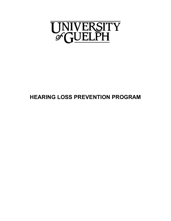

# **HEARING LOSS PREVENTION PROGRAM**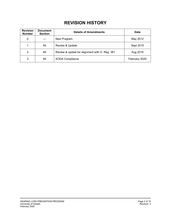# **REVISION HISTORY**

| <b>Revision</b><br><b>Number</b> | <b>Document</b><br><b>Section</b> | <b>Details of Amendments</b>                   | <b>Date</b>   |
|----------------------------------|-----------------------------------|------------------------------------------------|---------------|
| 0                                |                                   | New Program                                    | May 2012      |
| 1                                | All                               | <b>Review &amp; Update</b>                     | Sept 2015     |
| 2                                | All                               | Review & update for alignment with O. Reg. 381 | Aug 2018      |
| 3                                | All                               | <b>AODA Compliance</b>                         | February 2020 |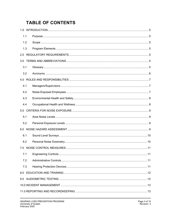# **TABLE OF CONTENTS**

| 1.1 |  |  |
|-----|--|--|
| 1.2 |  |  |
| 1.3 |  |  |
|     |  |  |
|     |  |  |
| 3.1 |  |  |
| 3.2 |  |  |
|     |  |  |
| 4.1 |  |  |
| 4.2 |  |  |
| 4.3 |  |  |
| 4.4 |  |  |
|     |  |  |
| 5.1 |  |  |
| 5.2 |  |  |
|     |  |  |
| 6.1 |  |  |
| 6.2 |  |  |
| 7.0 |  |  |
| 7.1 |  |  |
| 7.2 |  |  |
| 7.3 |  |  |
|     |  |  |
|     |  |  |
|     |  |  |
|     |  |  |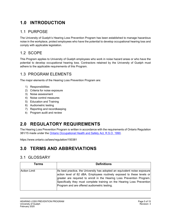# <span id="page-4-0"></span>**1.0 INTRODUCTION**

#### <span id="page-4-1"></span>1.1 PURPOSE

The University of Guelph's Hearing Loss Prevention Program has been established to manage hazardous noise in the workplace, protect employees who have the potential to develop occupational hearing loss and comply with applicable legislation.

### <span id="page-4-2"></span>1.2 SCOPE

This Program applies to University of Guelph employees who work in noise hazard areas or who have the potential to develop occupational hearing loss. Contractors retained by the University of Guelph must adhere to the applicable requirements of this Program.

#### <span id="page-4-3"></span>1.3 PROGRAM ELEMENTS

The major elements of the Hearing Loss Prevention Program are:

- 1) Responsibilities
- 2) Criteria for noise exposure
- 3) Noise assessment
- 4) Noise control measures
- 5) Education and Training
- 6) Audiometric testing
- 7) Reporting and recordkeeping
- 8) Program audit and review

# <span id="page-4-4"></span>**2.0 REGULATORY REQUIREMENTS**

The Hearing Loss Prevention Program is written in accordance with the requirements of Ontario Regulation 381/15 made under the [Ontario Occupational Health and Safety Act, R.S.O. 1990.](https://www.ontario.ca/laws/regulation/150381)

https://www.ontario.ca/laws/regulation/150381

# <span id="page-4-5"></span>**3.0 TERMS AND ABBREVIATIONS**

#### <span id="page-4-6"></span>3.1 GLOSSARY

| Terms               | <b>Definitions</b>                                                                                                                                                                                                                                                                                                                                       |
|---------------------|----------------------------------------------------------------------------------------------------------------------------------------------------------------------------------------------------------------------------------------------------------------------------------------------------------------------------------------------------------|
| <b>Action Limit</b> | As best practice, the University has adopted an equivalent noise exposure<br>action level of 82 dBA. Employees routinely exposed to these levels or<br>greater are required to enroll in the Hearing Loss Prevention Program.<br>Specifically they must complete training on the Hearing Loss Prevention<br>Program and are offered audiometric testing. |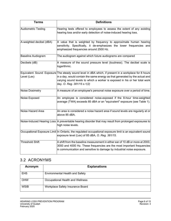| <b>Terms</b>               | <b>Definitions</b>                                                                                                                                                                                                                                                                              |
|----------------------------|-------------------------------------------------------------------------------------------------------------------------------------------------------------------------------------------------------------------------------------------------------------------------------------------------|
| <b>Audiometric Testing</b> | Hearing tests offered to employees to assess the extent of any existing<br>hearing loss and/or early detection of noise-induced hearing loss.                                                                                                                                                   |
| A-weighted decibel (dBA)   | A value that is weighted by frequency to approximate human hearing<br>sensitivity. Specifically, it de-emphasizes the lower frequencies and<br>emphasized frequencies around 2500 Hz.                                                                                                           |
| <b>Baseline Audiogram</b>  | The audiogram against which future audiograms are compared                                                                                                                                                                                                                                      |
| Decibels (dB)              | A measure of the sound pressure level (loudness). The decibel scale is<br>logarithmic.                                                                                                                                                                                                          |
| Level (Lex)                | Equivalent Sound Exposure The steady sound level in dBA which, if present in a workplace for 8 hours<br>in a day, would contain the same energy as that generated by the actual and<br>varying sound levels to which a worker is exposed in his or her total work<br>day. O. Reg. 381/15 s.1(2) |
| Noise Dosimetry            | A measure of an employee's personal noise exposure over a period of time.                                                                                                                                                                                                                       |
| Noise Exposed              | An employee is considered noise-exposed if the 8-hour time-weighted<br>average (TWA) exceeds 85 dBA or an "equivalent" exposure (see Table 1).                                                                                                                                                  |
| Noise Hazard Area          | An area is considered a noise hazard area if sound levels are regularly at or<br>above 85 dBA.                                                                                                                                                                                                  |
|                            | Noise-Induced Hearing Loss A preventable hearing disorder that may result from prolonged exposures to<br>high noise levels.                                                                                                                                                                     |
|                            | Occupational Exposure Limit In Ontario, the regulated occupational exposure limit is an equivalent sound<br>exposure level (Lex) of 85 dBA, O. Reg. 381/15.                                                                                                                                     |
| <b>Threshold Shift</b>     | A shift from the baseline measurement in either ear of 10 dB or more at 2000,<br>3000 and 4000 Hz. These frequencies are the most important frequencies<br>in communication and sensitive to damage by industrial noise exposure.                                                               |

#### <span id="page-5-0"></span>3.2 ACRONYMS

| Acronym     | <b>Explanations</b>                    |
|-------------|----------------------------------------|
| <b>EHS</b>  | <b>Environmental Health and Safety</b> |
| OHW         | Occupational Health and Wellness       |
| <b>WSIB</b> | Workplace Safety Insurance Board       |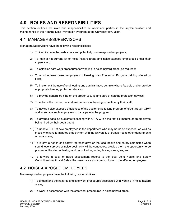## <span id="page-6-0"></span>**4.0 ROLES AND RESPONSIBILITIES**

This section outlines the roles and responsibilities of workplace parties in the implementation and maintenance of the Hearing Loss Prevention Program at the University of Guelph.

#### <span id="page-6-1"></span>4.1 MANAGERS/SUPERVISORS

Managers/Supervisors have the following responsibilities:

- 1) To identify noise hazards areas and potentially noise-exposed employees;
- 2) To maintain a current list of noise hazard areas and noise-exposed employees under their supervision;
- 3) To establish safe work procedures for working in noise hazard areas, as required;
- 4) To enroll noise-exposed employees in Hearing Loss Prevention Program training offered by EHS;
- 5) To implement the use of engineering and administrative controls where feasible and/or provide appropriate hearing protection devices;
- 6) To provide general training on the proper use, fit, and care of hearing protection devices;
- 7) To enforce the proper use and maintenance of hearing protection by their staff;
- 8) To advise noise-exposed employees of the audiometric testing program offered through OHW and to engage such employees to participate in the program;
- 9) To arrange baseline audiometric testing with OHW within the first six months of an employee being hired by their department;
- 10) To update EHS of new employees in the department who may be noise-exposed, as well as those who have terminated employment with the University or transferred to other departments or work areas;
- 11) To inform a health and safety representative or the local health and safety committee when sound level surveys or noise dosimetry will be conducted; provide them the opportunity to be present at the start of testing and consulted regarding testing strategies; and
- 12) To forward a copy of noise assessment reports to the local Joint Health and Safety Committee/Health and Safety Representative and communicate to the affected employees.

### <span id="page-6-2"></span>4.2 NOISE-EXPOSED EMPLOYEES

Noise-exposed employees have the following responsibilities:

- 1) To understand the hazards and safe work procedures associated with working in noise hazard areas;
- 2) To work in accordance with the safe work procedures in noise hazard areas;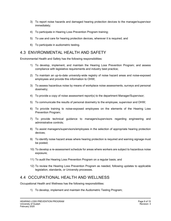- 3) To report noise hazards and damaged hearing protection devices to the manager/supervisor immediately;
- 4) To participate in Hearing Loss Prevention Program training;
- 5) To use and care for hearing protection devices, wherever it is required; and
- 6) To participate in audiometric testing.

#### <span id="page-7-0"></span>4.3 ENVIRONMENTAL HEALTH AND SAFETY

Environmental Health and Safety has the following responsibilities:

- 1) To develop, implement, and maintain the Hearing Loss Prevention Program; and assess compliance with legislative requirements and industry best practice;
- 2) To maintain an up-to-date university-wide registry of noise hazard areas and noise-exposed employees and provide this information to OHW;
- 3) To assess hazardous noise by means of workplace noise assessments, surveys and personal dosimetry;
- 4) To provide a copy of noise assessment report(s) to the department Manager/Supervisor;
- 5) To communicate the results of personal dosimetry to the employee, supervisor and OHW;
- 6) To provide training to noise-exposed employees on the elements of the Hearing Loss Prevention Program;
- 7) To provide technical guidance to managers/supervisors regarding engineering and administrative controls;
- 8) To assist managers/supervisors/employees in the selection of appropriate hearing protection devices;
- 9) To identify noise hazard areas where hearing protection is required and warning signage must be posted;
- 10) To develop a re-assessment schedule for areas where workers are subject to hazardous noise exposure;
- 11) To audit the Hearing Loss Prevention Program on a regular basis; and
- 12) To review the Hearing Loss Prevention Program as needed, following updates to applicable legislation, standards, or University processes.

#### <span id="page-7-1"></span>4.4 OCCUPATIONAL HEALTH AND WELLNESS

Occupational Health and Wellness has the following responsibilities:

1) To develop, implement and maintain the Audiometric Testing Program;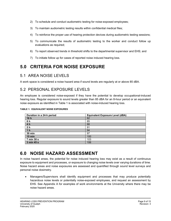- 2) To schedule and conduct audiometric testing for noise-exposed employees;
- 3) To maintain audiometric testing results within confidential medical files;
- 4) To reinforce the proper use of hearing protection devices during audiometric testing sessions;
- 5) To communicate the results of audiometric testing to the worker and conduct follow up evaluations as required;
- 6) To report observed trends in threshold shifts to the departmental supervisor and EHS; and
- 7) To initiate follow up for cases of reported noise induced hearing loss.

# <span id="page-8-0"></span>**5.0 CRITERIA FOR NOISE EXPOSURE**

#### <span id="page-8-1"></span>5.1 AREA NOISE LEVELS

A work space is considered a noise hazard area if sound levels are regularly at or above 85 dBA.

#### <span id="page-8-2"></span>5.2 PERSONAL EXPOSURE LEVELS

An employee is considered noise-exposed if they have the potential to develop occupational-induced hearing loss. Regular exposure to sound levels greater than 85 dBA for an 8-hour period or an equivalent noise exposure as identified in Table 1 is associated with noise-induced hearing loss.

| Duration in a 24-h period | <b>Equivalent Exposure Level (dBA)</b> |
|---------------------------|----------------------------------------|
| 16h                       | 82                                     |
| 8 h                       | 85                                     |
| 4 h                       | 88                                     |
| 2 <sub>h</sub>            | 91                                     |
| 1 <sub>h</sub>            | 94                                     |
| <b>30 min</b>             | 97                                     |
| $15$ min                  | 100                                    |
| 7 min 30 s                | 103                                    |
| 3 min 45 s                | 106                                    |

**TABLE 1: EQUIVALENT NOISE EXPOSURES**

## <span id="page-8-3"></span>**6.0 NOISE HAZARD ASSESSMENT**

In noise hazard areas, the potential for noise induced hearing loss may exist as a result of continuous exposure to equipment and processes, or exposure to changing noise levels over varying durations of time. Noise hazard areas and noise exposures are assessed and quantified through sound level surveys and personal noise dosimetry.

• Managers/Supervisors shall identify equipment and processes that may produce potentially hazardous noise levels or potentially noise-exposed employees, and request an assessment by EHS. See Appendix A for examples of work environments at the University where there may be noise hazard areas.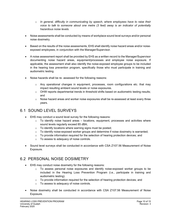- o *In general, difficulty in communicating by speech, where employees have to raise their voice to talk to someone about one metre (3 feet) away is an indicator of potentially hazardous noise levels.*
- Noise assessments shall be conducted by means of workplace sound level surveys and/or personal noise dosimetry.
- Based on the results of the noise assessments, EHS shall identify noise hazard areas and/or noiseexposed employees, in conjunction with the Manager/Supervisor.
- A noise assessment report shall be provided by EHS as a written record to the Manager/Supervisor documenting noise hazard areas, equipment/processes and employee noise exposure. If applicable, the assessment shall also identify the noise-exposed employee groups to be included in the hearing loss prevention program, specifically those who must participate in training and audiometric testing.
- Noise hazards shall be re- assessed for the following reasons:
	- o Any operational changes in equipment, processes, room configurations etc. that may impact resulting ambient sound levels or noise exposures.
	- o OHW reports departmental trends in threshold shifts based on audiometric testing results; and
	- $\circ$  Noise hazard areas and worker noise exposures shall be re-assessed at least every three years.

#### <span id="page-9-0"></span>6.1 SOUND LEVEL SURVEYS

- EHS may conduct a sound level survey for the following reasons:
	- $\circ$  To identify noise hazard areas locations, equipment, processes and activities where sound levels regularly exceed 85 dBA;
	- o To identify locations where warning signs must be posted;
	- $\circ$  To identify noise-exposed worker groups and determine if noise dosimetry is warranted;
	- $\circ$  To provide information required for the selection of hearing protection devices; and
	- o To assess to adequacy of noise controls.
- Sound level surveys shall be conducted in accordance with CSA Z107.56 Measurement of Noise Exposure.

#### <span id="page-9-1"></span>6.2 PERSONAL NOISE DOSIMETRY

- EHS may conduct noise dosimetry for the following reasons:
	- o To assess personal noise exposures and identify noise-exposed worker groups to be included in the Hearing Loss Prevention Program (i.e., participate in training and audiometric testing).
	- $\circ$  To provide information required for the selection of hearing protection devices; and
	- o To assess to adequacy of noise controls.
- Noise dosimetry shall be conducted in accordance with CSA Z107.56 Measurement of Noise Exposure.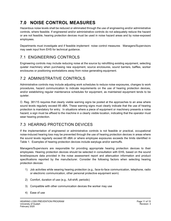# <span id="page-10-0"></span>**7.0 NOISE CONTROL MEASURES**

Hazardous noise levels shall be reduced or eliminated through the use of engineering and/or administrative controls, where feasible. If engineered and/or administrative controls do not adequately reduce the hazard or are not feasible, hearing protection devices must be used in noise hazard areas and by noise-exposed employees.

Departments must investigate and if feasible implement noise control measures Managers/Supervisors may seek input from EHS for technical guidance.

## <span id="page-10-1"></span>7.1 ENGINEERING CONTROLS

Engineering controls may include reducing noise at the source by retrofitting existing equipment, selecting quieter machinery when purchasing new equipment, source enclosures, sound barriers, baffles, worker enclosures or positioning workstations away from noise generating equipment.

#### <span id="page-10-2"></span>7.2 ADMINISTRATIVE CONTROLS

Administrative controls may include adjusting work schedules to reduce noise exposures, changes to work procedures, hazard communication to indicate requirements on the use of hearing protection devices, and/or establishing regular maintenance schedules for equipment, as maintained equipment tends to be quieter.

O. Reg. 381/15 requires that clearly visible warning signs be posted at the approaches to an area where sound levels regularly exceed 85 dBA. These warning signs must clearly indicate that the use of hearing protection is mandatory for entry. In situations where a piece of equipment or machinery presents a noise hazard, a sign must be affixed to the machine in a clearly visible location, indicating that the operator must wear hearing protection.

### <span id="page-10-3"></span>7.3 HEARING PROTECTION DEVICES

If the implementation of engineered or administrative controls is not feasible or practical, occupational noise-induced hearing loss may be prevented through the use of hearing protection devices in areas where the sound levels regularly exceed 85 dBA or where employee exposures exceeds the limits identified in Table 1. Examples of hearing protection devices include earplugs and/or earmuffs.

Managers/Supervisors are responsible for providing appropriate hearing protection devices to their employees. Hearing protection devices should be selected in consultation with EHS, based on the sound level/exposure data provided in the noise assessment report and attenuation information and product specifications reported by the manufacturer. Consider the following factors when selecting hearing protection devices:

- 1) Job activities while wearing hearing protection (e.g., face-to-face communication, telephone, radio or electronic communication, other personal protective equipment worn)
- 2) Comfort, duration of use (e.g., full-shift, periodic)
- 3) Compatible with other communication devices the worker may use
- 4) Ease of use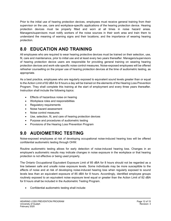Prior to the initial use of hearing protection devices, employees must receive general training from their supervisor on the use, care and workplace-specific applications of the hearing protection device. Hearing protection devices must be properly fitted and worn at all times in noise hazard areas. Managers/supervisors must notify workers of the noise sources in their work area and train them to understand the meaning of warning signs and their locations; and the importance of wearing hearing protection.

# <span id="page-11-0"></span>**8.0 EDUCATION AND TRAINING**

All employees who are required to wear hearing protective devices must be trained on their selection, use, fit, care and maintenance, prior to initial use and at least every two years thereafter. Managers/supervisors of hearing protection device users are responsible for providing general training on wearing hearing protection devices and work-site specific noise control measures. Noise-exposed employees will be offered refresher counselling on the proper use of hearing protection devices at the time of audiometric testing, as appropriate.

As a best practice, employees who are regularly exposed to equivalent sound levels greater than or equal to the Action Limit of 82 dBA for 8 hours a day will be trained on the elements of the Hearing Loss Prevention Program. They shall complete this training at the start of employment and every three years thereafter. Instruction shall include the following topics:

- Effects of hazardous noise on hearing
- Workplace roles and responsibilities
- Regulatory requirements
- Noise hazard assessment
- Noise control measures
- Use, selection, fit, and care of hearing protection devices
- Purpose and procedures of audiometric testing
- Provisions of the Hearing Loss Prevention Program

# <span id="page-11-1"></span>**9.0 AUDIOMETRIC TESTING**

Noise-exposed employees at risk of developing occupational noise-induced hearing loss will be offered confidential audiometric testing through OHW.

Routine audiometric testing allows for early detection of noise-induced hearing loss. Changes in an employee's audiometric results may indicate changes in noise exposure in the workplace or that hearing protection is not effective or being used properly.

The Ontario Occupational Equivalent Exposure Limit of 85 dBA for 8 hours should not be regarded as a line between safe and unsafe noise exposure levels. Some individuals may be more susceptible to the effects of noise and at risk of developing noise-induced hearing loss when regularly exposed to sound levels less than an equivalent exposure of 85 dBA for 8 hours. Accordingly, identified employee groups routinely exposed to an equivalent noise exposure level equal or greater than the Action Limit of 82 dBA for 8 hours shall be included in the Audiometric Testing Program.

• Confidential audiometric testing shall include: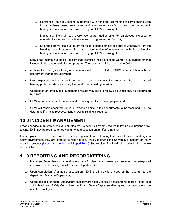- $\circ$  Reference Testing: Baseline audiograms within the first six months of commencing work for all noise-exposed new hires and employees transferring into the department. Managers/Supervisors are asked to engage OHW to arrange this;
- o Monitoring: Biennial (i.e., every two years) audiograms for employees exposed to equivalent sound exposure levels equal to or greater than 82 dBA;
- $\circ$  Exit Audiogram: Final audiogram for noise-exposed employees prior to withdrawal from the Hearing Loss Prevention Program or termination of employment with the University. Managers/Supervisors are asked to engage OHW to arrange this.
- EHS shall maintain a noise registry that identifies noise-exposed worker groups/departments included in the audiometric testing program. The registry shall be provided to OHW;
- Audiometric testing monitoring appointments will be scheduled by OHW in consultation with the department Manager/Supervisor;
- Noise-exposed employees shall be provided refresher counselling regarding the proper use of hearing protection devices during their audiometric testing session;
- Changes in an employee's audiometric results may require follow-up evaluations, as determined by OHW;
- OHW will offer a copy of the audiometric testing results to the employee; and
- OHW will report observed trends in threshold shifts to the departmental supervisor and EHS, to determine if a noise reassessment and/or retraining is required.

## <span id="page-12-0"></span>**10.0 INCIDENT MANAGEMENT**

When changes in an employee's audiometric results occur, OHW may require follow up evaluations or retesting. EHS may be required to provide a noise reassessment and/or retraining.

If an employee suspects they may be experiencing symptoms of hearing loss they attribute to working in a noisy environment, they are directed to report it to OHW by following the University's Incident or Injury reporting process [\(Illness or Injury Incident Report Form\).](https://www.uoguelph.ca/hr/system/files/Incident%20Report%20Form%202020%20-%20Fillable.pdf) Submission of an incident report will initiate follow up by OHW.

### <span id="page-12-1"></span>**11.0 REPORTING AND RECORDKEEPING**

- 1) Managers/Supervisors shall maintain a list of noise hazard areas and sources, noise-exposed employees and training records for their department(s).
- 2) Upon completion of a noise assessment, EHS shall provide a copy of the report(s) to the department Manager/Supervisor;
- 3) Upon receipt, Managers/Supervisors shall forward a copy of noise assessment report(s) to the local Joint Health and Safety Committee/Health and Safety Representative(s) and communicate to the affected employees.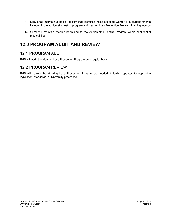- 4) EHS shall maintain a noise registry that identifies noise-exposed worker groups/departments included in the audiometric testing program and Hearing Loss Prevention Program Training records
- 5) OHW will maintain records pertaining to the Audiometric Testing Program within confidential medical files.

## <span id="page-13-0"></span>**12.0 PROGRAM AUDIT AND REVIEW**

#### <span id="page-13-1"></span>12.1 PROGRAM AUDIT

EHS will audit the Hearing Loss Prevention Program on a regular basis.

#### <span id="page-13-2"></span>12.2 PROGRAM REVIEW

EHS will review the Hearing Loss Prevention Program as needed, following updates to applicable legislation, standards, or University processes.